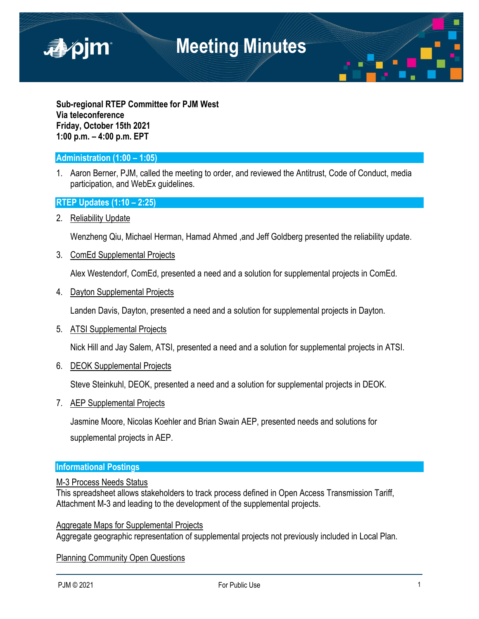

**Sub-regional RTEP Committee for PJM West Via teleconference Friday, October 15th 2021 1:00 p.m. – 4:00 p.m. EPT**

### **Administration (1:00 – 1:05)**

1. Aaron Berner, PJM, called the meeting to order, and reviewed the Antitrust, Code of Conduct, media participation, and WebEx guidelines.

#### **RTEP Updates (1:10 – 2:25)**

2. Reliability Update

Wenzheng Qiu, Michael Herman, Hamad Ahmed ,and Jeff Goldberg presented the reliability update.

3. ComEd Supplemental Projects

Alex Westendorf, ComEd, presented a need and a solution for supplemental projects in ComEd.

4. Dayton Supplemental Projects

Landen Davis, Dayton, presented a need and a solution for supplemental projects in Dayton.

5. ATSI Supplemental Projects

Nick Hill and Jay Salem, ATSI, presented a need and a solution for supplemental projects in ATSI.

6. DEOK Supplemental Projects

Steve Steinkuhl, DEOK, presented a need and a solution for supplemental projects in DEOK.

7. AEP Supplemental Projects

Jasmine Moore, Nicolas Koehler and Brian Swain AEP, presented needs and solutions for supplemental projects in AEP.

#### **Informational Postings**

#### M-3 Process Needs Status

This spreadsheet allows stakeholders to track process defined in Open Access Transmission Tariff, Attachment M-3 and leading to the development of the supplemental projects.

Aggregate Maps for Supplemental Projects Aggregate geographic representation of supplemental projects not previously included in Local Plan.

Planning Community Open Questions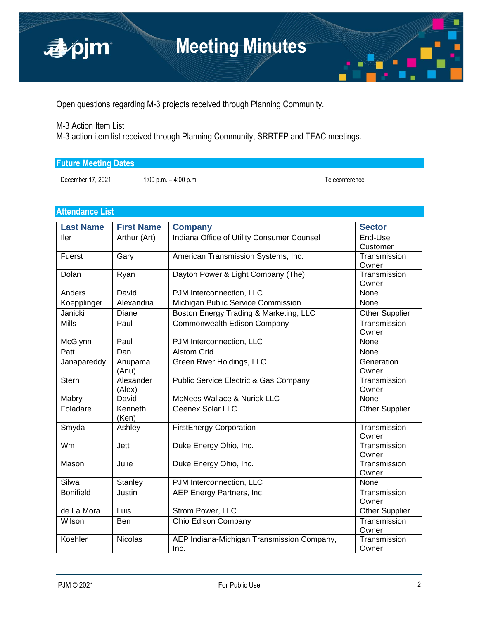

Open questions regarding M-3 projects received through Planning Community.

## M-3 Action Item List

M-3 action item list received through Planning Community, SRRTEP and TEAC meetings.

| <b>Future Meeting Dates</b> |  |  |
|-----------------------------|--|--|
|                             |  |  |

December 17, 2021 1:00 p.m. – 4:00 p.m. Teleconference

## **Attendance List**

| <b>Last Name</b> | <b>First Name</b> | <b>Company</b>                                   | <b>Sector</b>         |
|------------------|-------------------|--------------------------------------------------|-----------------------|
| ller             | Arthur (Art)      | Indiana Office of Utility Consumer Counsel       | End-Use               |
|                  |                   |                                                  | Customer              |
| Fuerst           | Gary              | American Transmission Systems, Inc.              | Transmission          |
|                  |                   |                                                  | Owner                 |
| Dolan            | Ryan              | Dayton Power & Light Company (The)               | Transmission          |
|                  |                   |                                                  | Owner                 |
| Anders           | David             | PJM Interconnection, LLC                         | None                  |
| Koepplinger      | Alexandria        | Michigan Public Service Commission               | None                  |
| Janicki          | Diane             | Boston Energy Trading & Marketing, LLC           | <b>Other Supplier</b> |
| <b>Mills</b>     | Paul              | Commonwealth Edison Company                      | Transmission          |
|                  |                   |                                                  | Owner                 |
| McGlynn          | Paul              | PJM Interconnection, LLC                         | None                  |
| Patt             | Dan               | <b>Alstom Grid</b>                               | None                  |
| Janapareddy      | Anupama           | Green River Holdings, LLC                        | Generation            |
|                  | (Anu)             |                                                  | Owner                 |
| <b>Stern</b>     | Alexander         | <b>Public Service Electric &amp; Gas Company</b> | Transmission          |
|                  | (Alex)            |                                                  | Owner                 |
| Mabry            | David             | McNees Wallace & Nurick LLC                      | None                  |
| Foladare         | Kenneth           | Geenex Solar LLC                                 | <b>Other Supplier</b> |
|                  | (Ken)             |                                                  |                       |
| Smyda            | Ashley            | <b>FirstEnergy Corporation</b>                   | Transmission          |
|                  |                   |                                                  | Owner                 |
| Wm               | Jett              | Duke Energy Ohio, Inc.                           | Transmission          |
|                  |                   |                                                  | Owner                 |
| Mason            | Julie             | Duke Energy Ohio, Inc.                           | Transmission          |
| Silwa            |                   |                                                  | Owner                 |
|                  | <b>Stanley</b>    | PJM Interconnection, LLC                         | None                  |
| <b>Bonifield</b> | Justin            | AEP Energy Partners, Inc.                        | Transmission          |
| de La Mora       | Luis              | Strom Power, LLC                                 | Owner                 |
|                  |                   |                                                  | <b>Other Supplier</b> |
| Wilson           | Ben               | Ohio Edison Company                              | Transmission          |
| Koehler          | <b>Nicolas</b>    |                                                  | Owner<br>Transmission |
|                  |                   | AEP Indiana-Michigan Transmission Company,       | Owner                 |
|                  |                   | Inc.                                             |                       |